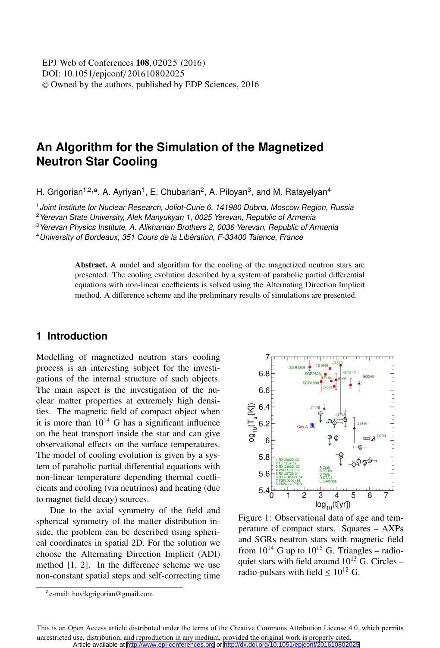# **An Algorithm for the Simulation of the Magnetized Neutron Star Cooling**

H. Grigorian<sup>1,2,a</sup>, A. Ayriyan<sup>1</sup>, E. Chubarian<sup>2</sup>, A. Piloyan<sup>3</sup>, and M. Rafayelyan<sup>4</sup>

<sup>1</sup> Joint Institute for Nuclear Research, Joliot-Curie 6, 141980 Dubna, Moscow Region, Russia

<sup>2</sup>Yerevan State University, Alek Manyukyan 1, 0025 Yerevan, Republic of Armenia

<sup>3</sup>Yerevan Physics Institute, A. Alikhanian Brothers 2, 0036 Yerevan, Republic of Armenia

<sup>4</sup>University of Bordeaux, 351 Cours de la Libération, F-33400 Talence, France

Abstract. A model and algorithm for the cooling of the magnetized neutron stars are presented. The cooling evolution described by a system of parabolic partial differential equations with non-linear coefficients is solved using the Alternating Direction Implicit method. A difference scheme and the preliminary results of simulations are presented.

# **1 Introduction**

Modelling of magnetized neutron stars cooling process is an interesting subject for the investigations of the internal structure of such objects. The main aspect is the investigation of the nuclear matter properties at extremely high densities. The magnetic field of compact object when it is more than  $10^{14}$  G has a significant influence on the heat transport inside the star and can give observational effects on the surface temperatures. The model of cooling evolution is given by a system of parabolic partial differential equations with non-linear temperature depending thermal coefficients and cooling (via neutrinos) and heating (due to magnet field decay) sources.

Due to the axial symmetry of the field and spherical symmetry of the matter distribution inside, the problem can be described using spherical coordinates in spatial 2D. For the solution we choose the Alternating Direction Implicit (ADI) method [1, 2]. In the difference scheme we use non-constant spatial steps and self-correcting time



Figure 1: Observational data of age and temperature of compact stars. Squares – AXPs and SGRs neutron stars with magnetic field from  $10^{14}$  G up to  $10^{15}$  G. Triangles – radioquiet stars with field around  $10^{13}$  G. Circles – radio-pulsars with field  $\leq 10^{12}$  G.

ae-mail: hovikgrigorian@gmail.com

This is an Open Access article distributed under the terms of the Creative Commons Attribution License 4.0, which permits unrestricted use, distribution, and reproduction in any medium, provided the original work is properly cited. Article available at <http://www.epj-conferences.org> or <http://dx.doi.org/10.1051/epjconf/201610802025>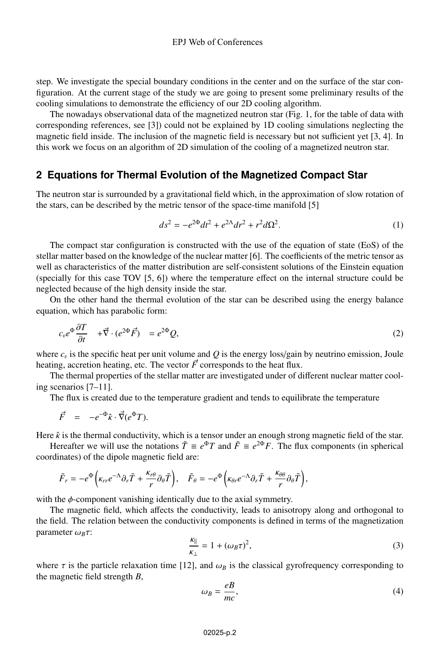step. We investigate the special boundary conditions in the center and on the surface of the star configuration. At the current stage of the study we are going to present some preliminary results of the cooling simulations to demonstrate the efficiency of our 2D cooling algorithm.

The nowadays observational data of the magnetized neutron star (Fig. 1, for the table of data with corresponding references, see [3]) could not be explained by 1D cooling simulations neglecting the magnetic field inside. The inclusion of the magnetic field is necessary but not sufficient yet [3, 4]. In this work we focus on an algorithm of 2D simulation of the cooling of a magnetized neutron star.

### **2 Equations for Thermal Evolution of the Magnetized Compact Star**

The neutron star is surrounded by a gravitational field which, in the approximation of slow rotation of the stars, can be described by the metric tensor of the space-time manifold [5]

$$
ds^{2} = -e^{2\Phi}dt^{2} + e^{2\Lambda}dr^{2} + r^{2}d\Omega^{2}.
$$
 (1)

The compact star configuration is constructed with the use of the equation of state (EoS) of the stellar matter based on the knowledge of the nuclear matter [6]. The coefficients of the metric tensor as well as characteristics of the matter distribution are self-consistent solutions of the Einstein equation (specially for this case TOV [5, 6]) where the temperature effect on the internal structure could be neglected because of the high density inside the star.

On the other hand the thermal evolution of the star can be described using the energy balance equation, which has parabolic form:

$$
c_v e^{\Phi} \frac{\partial T}{\partial t} + \vec{\nabla} \cdot (e^{2\Phi} \vec{F}) = e^{2\Phi} Q,
$$
\n(2)

where  $c<sub>v</sub>$  is the specific heat per unit volume and *Q* is the energy loss/gain by neutrino emission, Joule heating, accretion heating, etc. The vector  $\vec{F}$  corresponds to the heat flux.

The thermal properties of the stellar matter are investigated under of different nuclear matter cooling scenarios [7–11].

The flux is created due to the temperature gradient and tends to equilibrate the temperature

$$
\vec{F} = -e^{-\Phi}\hat{\kappa} \cdot \vec{\nabla}(e^{\Phi}T).
$$

Here  $\hat{\kappa}$  is the thermal conductivity, which is a tensor under an enough strong magnetic field of the star.

Hereafter we will use the notations  $\tilde{T} \equiv e^{\Phi}T$  and  $\tilde{F} \equiv e^{2\Phi}F$ . The flux components (in spherical coordinates) of the dipole magnetic field are:

$$
\tilde{F}_r = -e^{\Phi}\left(\kappa_{rr}e^{-\Lambda}\partial_r\tilde{T} + \frac{\kappa_{r\theta}}{r}\partial_{\theta}\tilde{T}\right), \quad \tilde{F}_{\theta} = -e^{\Phi}\left(\kappa_{\theta r}e^{-\Lambda}\partial_r\tilde{T} + \frac{\kappa_{\theta\theta}}{r}\partial_{\theta}\tilde{T}\right),
$$

with the  $\phi$ -component vanishing identically due to the axial symmetry.

The magnetic field, which affects the conductivity, leads to anisotropy along and orthogonal to the field. The relation between the conductivity components is defined in terms of the magnetization parameter  $\omega_B \tau$ :

$$
\frac{k_{\parallel}}{k_{\perp}} = 1 + (\omega_B \tau)^2,
$$
\n(3)

where  $\tau$  is the particle relaxation time [12], and  $\omega_B$  is the classical gyrofrequency corresponding to the magnetic field strength *B*,

$$
\omega_B = \frac{eB}{mc},\tag{4}
$$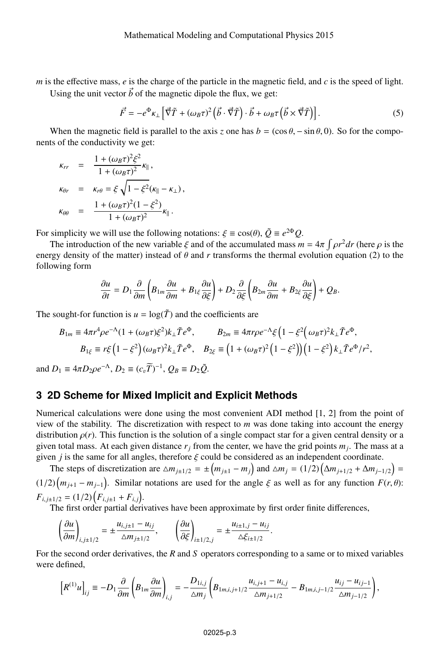*m* is the effective mass, *e* is the charge of the particle in the magnetic field, and *c* is the speed of light.

Using the unit vector  $\vec{b}$  of the magnetic dipole the flux, we get:

$$
\vec{F} = -e^{\Phi}\kappa_{\perp} \left[ \vec{\nabla}\tilde{T} + (\omega_{B}\tau)^{2} \left( \vec{b} \cdot \vec{\nabla}\tilde{T} \right) \cdot \vec{b} + \omega_{B}\tau \left( \vec{b} \times \vec{\nabla}\tilde{T} \right) \right].
$$
 (5)

When the magnetic field is parallel to the axis *z* one has  $b = (\cos \theta, -\sin \theta, 0)$ . So for the components of the conductivity we get:

$$
\begin{array}{rcl}\n\kappa_{rr} & = & \frac{1 + (\omega_B \tau)^2 \xi^2}{1 + (\omega_B \tau)^2} \kappa_{\parallel} \,, \\
\kappa_{\theta r} & = & \kappa_{r\theta} = \xi \sqrt{1 - \xi^2} (\kappa_{\parallel} - \kappa_{\perp}) \,, \\
\kappa_{\theta \theta} & = & \frac{1 + (\omega_B \tau)^2 (1 - \xi^2)}{1 + (\omega_B \tau)^2} \kappa_{\parallel} \,. \n\end{array}
$$

For simplicity we will use the following notations:  $\xi \equiv \cos(\theta)$ ,  $\tilde{Q} \equiv e^{2\Phi}Q$ .

The introduction of the new variable  $\xi$  and of the accumulated mass  $\overline{m} = 4\pi \int \rho r^2 dr$  (here  $\rho$  is the energy density of the matter) instead of  $\theta$  and  $r$  transforms the thermal evolution equation (2) to the following form

$$
\frac{\partial u}{\partial t}=D_1\frac{\partial}{\partial m}\left(B_{1m}\frac{\partial u}{\partial m}+B_{1\xi}\frac{\partial u}{\partial \xi}\right)+D_2\frac{\partial}{\partial \xi}\left(B_{2m}\frac{\partial u}{\partial m}+B_{2\xi}\frac{\partial u}{\partial \xi}\right)+Q_B.
$$

The sought-for function is  $u = \log(\tilde{T})$  and the coefficients are

$$
B_{1m} \equiv 4\pi r^4 \rho e^{-\Lambda} (1 + (\omega_B \tau) \xi^2) k_\perp \tilde{T} e^{\Phi}, \qquad B_{2m} \equiv 4\pi r \rho e^{-\Lambda} \xi \left(1 - \xi^2 \left(\omega_B \tau\right)^2 k_\perp \tilde{T} e^{\Phi}, \right)
$$
  
\n
$$
B_{1\xi} \equiv r \xi \left(1 - \xi^2\right) (\omega_B \tau)^2 k_\perp \tilde{T} e^{\Phi}, \qquad B_{2\xi} \equiv \left(1 + (\omega_B \tau)^2 \left(1 - \xi^2\right)\right) \left(1 - \xi^2\right) k_\perp \tilde{T} e^{\Phi} / r^2,
$$

and  $D_1 \equiv 4\pi D_2 \rho e^{-\Lambda}$ ,  $D_2 \equiv (c_v \widetilde{T})^{-1}$ ,  $Q_B \equiv D_2 \widetilde{Q}$ .

# **3 2D Scheme for Mixed Implicit and Explicit Methods**

Numerical calculations were done using the most convenient ADI method [1, 2] from the point of view of the stability. The discretization with respect to *m* was done taking into account the energy distribution  $\rho(r)$ . This function is the solution of a single compact star for a given central density or a given total mass. At each given distance  $r_j$  from the center, we have the grid points  $m_j$ . The mass at a given *j* is the same for all angles, therefore  $\xi$  could be considered as an independent coordinate.

The steps of discretization are  $\Delta m_{j\pm 1/2} = \pm (m_{j\pm 1} - m_j)$  and  $\Delta m_j = (1/2) (\Delta m_{j\pm 1/2} + \Delta m_{j\pm 1/2}) =$  $(1/2)\left(m_{j+1} - m_{j-1}\right)$ . Similar notations are used for the angle  $\xi$  as well as for any function  $F(r, \theta)$ :  $F_{i,j\pm 1/2} = (1/2) \Big( F_{i,j\pm 1} + F_{i,j} \Big).$ 

The first order partial derivatives have been approximate by first order finite differences,

$$
\left(\frac{\partial u}{\partial m}\right)_{i,j\pm 1/2} = \pm \frac{u_{i,j\pm 1} - u_{ij}}{\Delta m_{j\pm 1/2}}, \qquad \left(\frac{\partial u}{\partial \xi}\right)_{i\pm 1/2,j} = \pm \frac{u_{i\pm 1,j} - u_{ij}}{\Delta \xi_{i\pm 1/2}}.
$$

For the second order derivatives, the *R* and *S* operators corresponding to a same or to mixed variables were defined,

$$
\left[R^{(1)}u\right]_{ij} \equiv -D_1\frac{\partial}{\partial m}\left(B_{1m}\frac{\partial u}{\partial m}\right)_{i,j} = -\frac{D_{1i,j}}{\Delta m_j}\left(B_{1m,i,j+1/2}\frac{u_{i,j+1} - u_{i,j}}{\Delta m_{j+1/2}} - B_{1m,i,j-1/2}\frac{u_{ij} - u_{ij-1}}{\Delta m_{j-1/2}}\right),\,
$$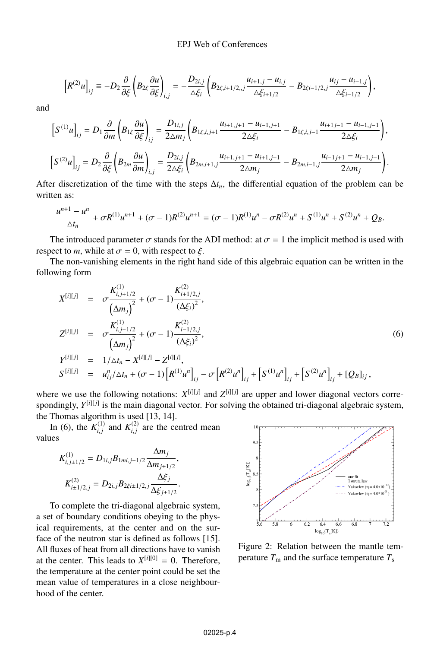$$
\left[R^{(2)}u\right]_{ij} \equiv -D_2\frac{\partial}{\partial\xi}\left(B_{2\xi}\frac{\partial u}{\partial\xi}\right)_{i,j} = -\frac{D_{2i,j}}{\Delta\xi_i}\left(B_{2\xi,i+1/2,,j}\frac{u_{i+1,j}-u_{i,j}}{\Delta\xi_{i+1/2}}-B_{2\xi i-1/2,j}\frac{u_{ij}-u_{i-1,j}}{\Delta\xi_{i-1/2}}\right),
$$

and

$$
\label{eq:2} \begin{split} \left[S^{(1)}u\right]_{ij} &= D_1\frac{\partial}{\partial m}\left(B_{1\xi}\frac{\partial u}{\partial\xi}\right)_{ij} = \frac{D_{1i,j}}{2\Delta m_j}\left(B_{1\xi,i,j+1}\frac{u_{i+1,j+1}-u_{i-1,j+1}}{2\Delta\xi_i} - B_{1\xi,i,j-1}\frac{u_{i+1,j-1}-u_{i-1,j-1}}{2\Delta\xi_i}\right),\\ \left[S^{(2)}u\right]_{ij} &= D_2\frac{\partial}{\partial\xi}\left(B_{2m}\frac{\partial u}{\partial m}\right)_{i,j} = \frac{D_{2i,j}}{2\Delta\xi_i}\left(B_{2m,i+1,j}\frac{u_{i+1,j+1}-u_{i+1,j-1}}{2\Delta m_j} - B_{2m,i-1,j}\frac{u_{i-1,j+1}-u_{i-1,j-1}}{2\Delta m_j}\right). \end{split}
$$

After discretization of the time with the steps  $\Delta t_n$ , the differential equation of the problem can be written as:

$$
\frac{u^{n+1}-u^n}{\Delta t_n}+\sigma R^{(1)}u^{n+1}+(\sigma-1)R^{(2)}u^{n+1}=(\sigma-1)R^{(1)}u^n-\sigma R^{(2)}u^n+S^{(1)}u^n+S^{(2)}u^n+Q_B.
$$

The introduced parameter  $\sigma$  stands for the ADI method: at  $\sigma = 1$  the implicit method is used with respect to *m*, while at  $\sigma = 0$ , with respect to  $\xi$ .

The non-vanishing elements in the right hand side of this algebraic equation can be written in the following form

$$
X^{[i][j]} = \sigma \frac{K_{i,j+1/2}^{(1)}}{(\Delta m_j)^2} + (\sigma - 1) \frac{K_{i+1/2,j}^{(2)}}{(\Delta \xi_i)^2},
$$
  
\n
$$
Z^{[i][j]} = \sigma \frac{K_{i,j-1/2}^{(1)}}{(\Delta m_j)^2} + (\sigma - 1) \frac{K_{i-1/2,j}^{(2)}}{(\Delta \xi_i)^2},
$$
  
\n
$$
Y^{[i][j]} = 1/\Delta t_n - X^{[i][j]} - Z^{[i][j]},
$$
  
\n
$$
S^{[i][j]} = u_{ij}^n/\Delta t_n + (\sigma - 1) [R^{(1)}u_{ij}^n]_{ij} - \sigma [R^{(2)}u_{ij}^n]_{ij} + [S^{(1)}u_{ij}^n]_{ij} + [Q_B]_{ij},
$$
\n(6)

where we use the following notations:  $X^{[i][j]}$  and  $Z^{[i][j]}$  are upper and lower diagonal vectors correspondingly,  $Y^{[i][j]}$  is the main diagonal vector. For solving the obtained tri-diagonal algebraic system, the Thomas algorithm is used [13, 14].

In (6), the  $K_{i,j}^{(1)}$  and  $K_{i,j}^{(2)}$  are the centred mean values

$$
\begin{split} K_{i,j\pm1/2}^{(1)}&=D_{1i,j}B_{1mi,j\pm1/2}\frac{\Delta m_j}{\Delta m_{j\pm1/2}},\\ K_{i\pm1/2,j}^{(2)}&=D_{2i,j}B_{2\xi i\pm1/2,j}\frac{\Delta \xi_j}{\Delta \xi_{j\pm1/2}}. \end{split}
$$

To complete the tri-diagonal algebraic system, a set of boundary conditions obeying to the physical requirements, at the center and on the surface of the neutron star is defined as follows [15]. All fluxes of heat from all directions have to vanish at the center. This leads to  $X^{[i][0]} = 0$ . Therefore, the temperature at the center point could be set the mean value of temperatures in a close neighbourhood of the center.



Figure 2: Relation between the mantle temperature  $T<sub>m</sub>$  and the surface temperature  $T<sub>s</sub>$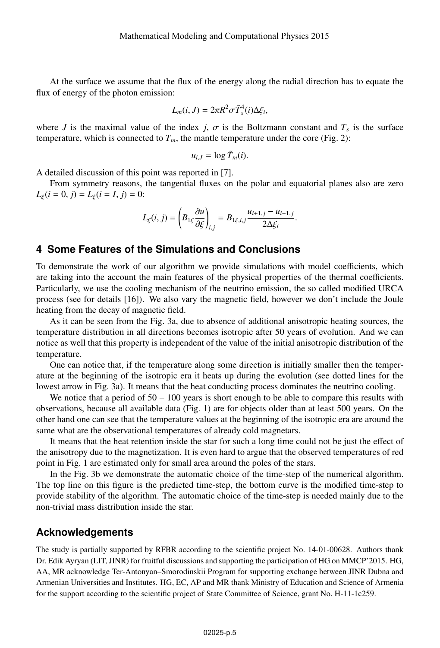At the surface we assume that the flux of the energy along the radial direction has to equate the flux of energy of the photon emission:

$$
L_m(i, J) = 2\pi R^2 \sigma \tilde{T}_s^4(i) \Delta \xi_i,
$$

where *J* is the maximal value of the index *j*,  $\sigma$  is the Boltzmann constant and  $T_s$  is the surface temperature, which is connected to  $T_m$ , the mantle temperature under the core (Fig. 2):

$$
u_{i,J}=\log \tilde{T}_m(i).
$$

A detailed discussion of this point was reported in [7].

From symmetry reasons, the tangential fluxes on the polar and equatorial planes also are zero  $L_{\xi}(i = 0, j) = L_{\xi}(i = I, j) = 0$ :

$$
L_{\xi}(i, j) = \left(B_{1\xi} \frac{\partial u}{\partial \xi}\right)_{i,j} = B_{1\xi, i,j} \frac{u_{i+1,j} - u_{i-1,j}}{2\Delta \xi_i}.
$$

## **4 Some Features of the Simulations and Conclusions**

To demonstrate the work of our algorithm we provide simulations with model coefficients, which are taking into the account the main features of the physical properties of the thermal coefficients. Particularly, we use the cooling mechanism of the neutrino emission, the so called modified URCA process (see for details [16]). We also vary the magnetic field, however we don't include the Joule heating from the decay of magnetic field.

As it can be seen from the Fig. 3a, due to absence of additional anisotropic heating sources, the temperature distribution in all directions becomes isotropic after 50 years of evolution. And we can notice as well that this property is independent of the value of the initial anisotropic distribution of the temperature.

One can notice that, if the temperature along some direction is initially smaller then the temperature at the beginning of the isotropic era it heats up during the evolution (see dotted lines for the lowest arrow in Fig. 3a). It means that the heat conducting process dominates the neutrino cooling.

We notice that a period of  $50 - 100$  years is short enough to be able to compare this results with observations, because all available data (Fig. 1) are for objects older than at least 500 years. On the other hand one can see that the temperature values at the beginning of the isotropic era are around the same what are the observational temperatures of already cold magnetars.

It means that the heat retention inside the star for such a long time could not be just the effect of the anisotropy due to the magnetization. It is even hard to argue that the observed temperatures of red point in Fig. 1 are estimated only for small area around the poles of the stars.

In the Fig. 3b we demonstrate the automatic choice of the time-step of the numerical algorithm. The top line on this figure is the predicted time-step, the bottom curve is the modified time-step to provide stability of the algorithm. The automatic choice of the time-step is needed mainly due to the non-trivial mass distribution inside the star.

#### **Acknowledgements**

The study is partially supported by RFBR according to the scientific project No. 14-01-00628. Authors thank Dr. Edik Ayryan (LIT, JINR) for fruitful discussions and supporting the participation of HG on MMCP'2015. HG, AA, MR acknowledge Ter-Antonyan–Smorodinskii Program for supporting exchange between JINR Dubna and Armenian Universities and Institutes. HG, EC, AP and MR thank Ministry of Education and Science of Armenia for the support according to the scientific project of State Committee of Science, grant No. H-11-1c259.